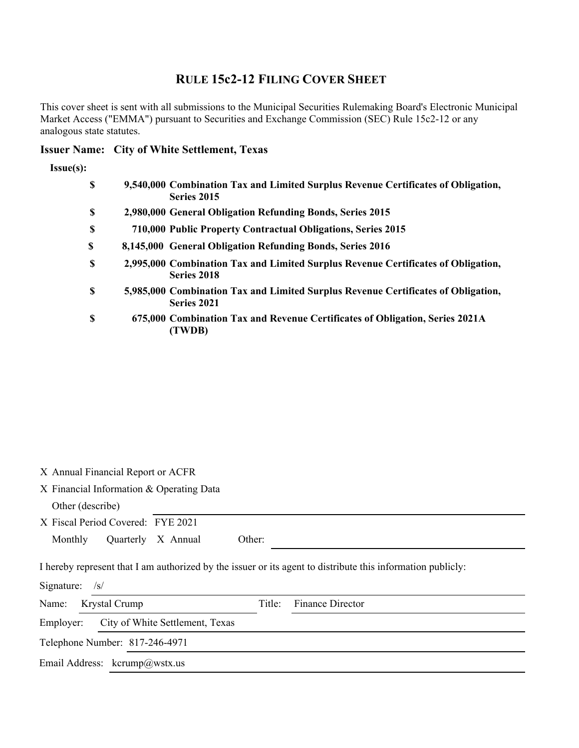# **RULE 15c2-12 FILING COVER SHEET**

This cover sheet is sent with all submissions to the Municipal Securities Rulemaking Board's Electronic Municipal Market Access ("EMMA") pursuant to Securities and Exchange Commission (SEC) Rule 15c2-12 or any analogous state statutes.

## **Issuer Name: City of White Settlement, Texas**

#### **Issue(s):**

| \$ | 9,540,000 Combination Tax and Limited Surplus Revenue Certificates of Obligation,<br>Series 2015 |
|----|--------------------------------------------------------------------------------------------------|
| \$ | 2,980,000 General Obligation Refunding Bonds, Series 2015                                        |
| \$ | 710,000 Public Property Contractual Obligations, Series 2015                                     |
| S  | 8,145,000 General Obligation Refunding Bonds, Series 2016                                        |
| \$ | 2,995,000 Combination Tax and Limited Surplus Revenue Certificates of Obligation,<br>Series 2018 |
| \$ | 5,985,000 Combination Tax and Limited Surplus Revenue Certificates of Obligation,<br>Series 2021 |
| \$ | 675,000 Combination Tax and Revenue Certificates of Obligation, Series 2021A<br>(TWDB)           |

X Annual Financial Report or ACFR

X Financial Information & Operating Data

Other (describe) X Fiscal Period Covered: FYE 2021 Monthly Quarterly X Annual Other: I hereby represent that I am authorized by the issuer or its agent to distribute this information publicly: Signature: /s/ 

| Name: Krystal Crump                       |  | <b>Finance Director</b> |
|-------------------------------------------|--|-------------------------|
| Employer: City of White Settlement, Texas |  |                         |
| Telephone Number: 817-246-4971            |  |                         |
| Email Address: kcrump@wstx.us             |  |                         |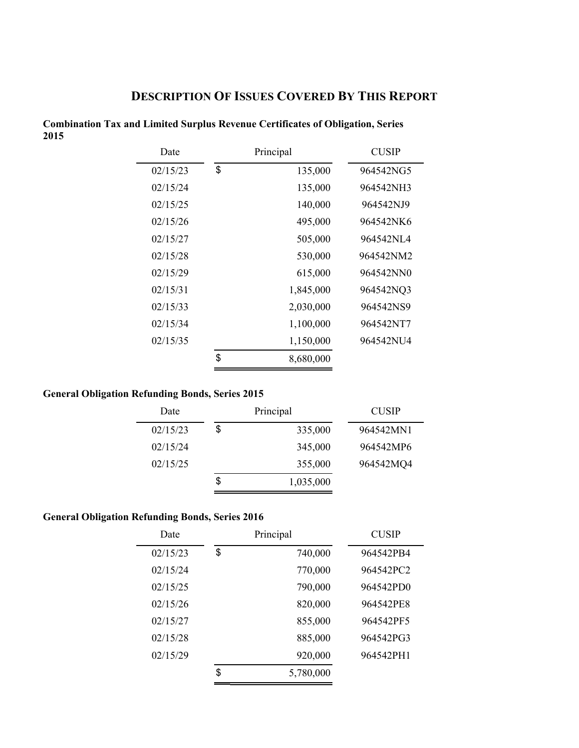# **DESCRIPTION OF ISSUES COVERED BY THIS REPORT**

| Date     | Principal |           | <b>CUSIP</b> |
|----------|-----------|-----------|--------------|
| 02/15/23 | \$        | 135,000   | 964542NG5    |
| 02/15/24 |           | 135,000   | 964542NH3    |
| 02/15/25 |           | 140,000   | 964542NJ9    |
| 02/15/26 |           | 495,000   | 964542NK6    |
| 02/15/27 |           | 505,000   | 964542NL4    |
| 02/15/28 |           | 530,000   | 964542NM2    |
| 02/15/29 |           | 615,000   | 964542NN0    |
| 02/15/31 |           | 1,845,000 | 964542NQ3    |
| 02/15/33 |           | 2,030,000 | 964542NS9    |
| 02/15/34 |           | 1,100,000 | 964542NT7    |
| 02/15/35 |           | 1,150,000 | 964542NU4    |
|          | \$        | 8,680,000 |              |
|          |           |           |              |

**Combination Tax and Limited Surplus Revenue Certificates of Obligation, Series 2015** 

## **General Obligation Refunding Bonds, Series 2015**

| Date     | Principal       | <b>CUSIP</b> |
|----------|-----------------|--------------|
| 02/15/23 | \$<br>335,000   | 964542MN1    |
| 02/15/24 | 345,000         | 964542MP6    |
| 02/15/25 | 355,000         | 964542MQ4    |
|          | \$<br>1,035,000 |              |

## **General Obligation Refunding Bonds, Series 2016**

| Date     | Principal |           | <b>CUSIP</b> |
|----------|-----------|-----------|--------------|
| 02/15/23 | \$        | 740,000   | 964542PB4    |
| 02/15/24 |           | 770,000   | 964542PC2    |
| 02/15/25 |           | 790,000   | 964542PD0    |
| 02/15/26 |           | 820,000   | 964542PE8    |
| 02/15/27 |           | 855,000   | 964542PF5    |
| 02/15/28 |           | 885,000   | 964542PG3    |
| 02/15/29 |           | 920,000   | 964542PH1    |
|          | \$        | 5,780,000 |              |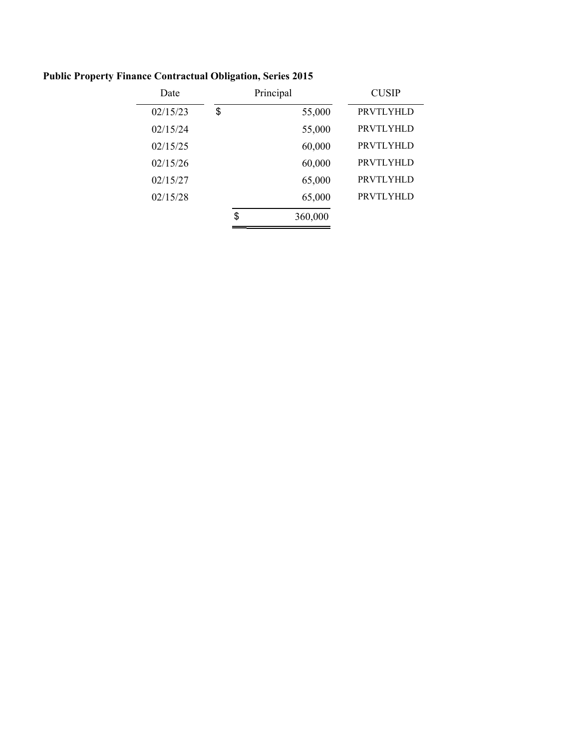| Date     | Principal     | <b>CUSIP</b>     |
|----------|---------------|------------------|
| 02/15/23 | \$<br>55,000  | <b>PRVTLYHLD</b> |
| 02/15/24 | 55,000        | PRVTLYHLD        |
| 02/15/25 | 60,000        | PRVTLYHLD        |
| 02/15/26 | 60,000        | PRVTLYHLD        |
| 02/15/27 | 65,000        | <b>PRVTLYHLD</b> |
| 02/15/28 | 65,000        | <b>PRVTLYHLD</b> |
|          | \$<br>360,000 |                  |
|          |               |                  |

# **Public Property Finance Contractual Obligation, Series 2015**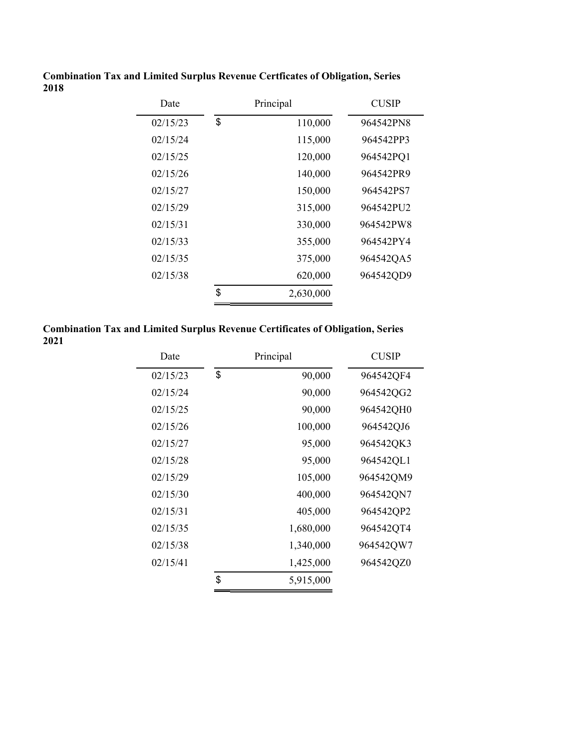| Date     | Principal       | <b>CUSIP</b> |
|----------|-----------------|--------------|
| 02/15/23 | \$<br>110,000   | 964542PN8    |
| 02/15/24 | 115,000         | 964542PP3    |
| 02/15/25 | 120,000         | 964542PQ1    |
| 02/15/26 | 140,000         | 964542PR9    |
| 02/15/27 | 150,000         | 964542PS7    |
| 02/15/29 | 315,000         | 964542PU2    |
| 02/15/31 | 330,000         | 964542PW8    |
| 02/15/33 | 355,000         | 964542PY4    |
| 02/15/35 | 375,000         | 964542QA5    |
| 02/15/38 | 620,000         | 964542QD9    |
|          | \$<br>2,630,000 |              |

**Combination Tax and Limited Surplus Revenue Certficates of Obligation, Series 2018**

**Combination Tax and Limited Surplus Revenue Certificates of Obligation, Series 2021**

| Date     | Principal       | <b>CUSIP</b> |
|----------|-----------------|--------------|
| 02/15/23 | \$<br>90,000    | 964542QF4    |
| 02/15/24 | 90,000          | 964542QG2    |
| 02/15/25 | 90,000          | 964542QH0    |
| 02/15/26 | 100,000         | 964542QJ6    |
| 02/15/27 | 95,000          | 964542QK3    |
| 02/15/28 | 95,000          | 964542QL1    |
| 02/15/29 | 105,000         | 964542QM9    |
| 02/15/30 | 400,000         | 964542QN7    |
| 02/15/31 | 405,000         | 964542QP2    |
| 02/15/35 | 1,680,000       | 964542QT4    |
| 02/15/38 | 1,340,000       | 964542QW7    |
| 02/15/41 | 1,425,000       | 964542QZ0    |
|          | \$<br>5,915,000 |              |
|          |                 |              |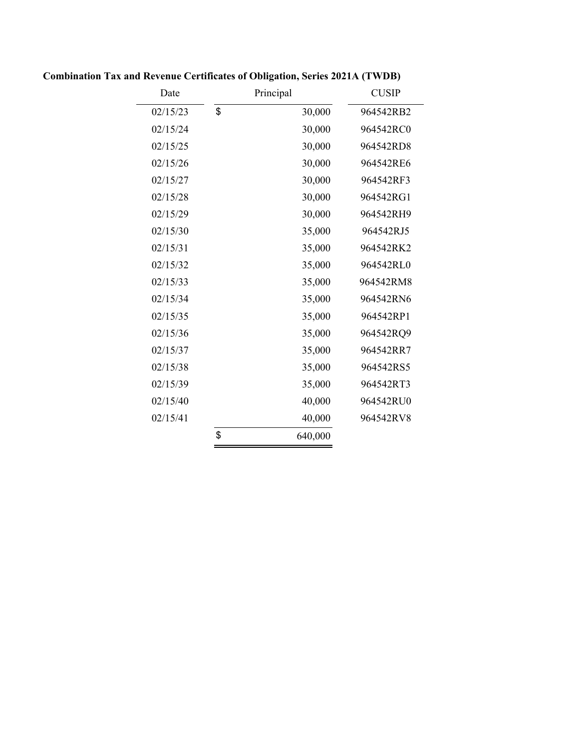| Date     | Principal     | <b>CUSIP</b> |
|----------|---------------|--------------|
| 02/15/23 | \$<br>30,000  | 964542RB2    |
| 02/15/24 | 30,000        | 964542RC0    |
| 02/15/25 | 30,000        | 964542RD8    |
| 02/15/26 | 30,000        | 964542RE6    |
| 02/15/27 | 30,000        | 964542RF3    |
| 02/15/28 | 30,000        | 964542RG1    |
| 02/15/29 | 30,000        | 964542RH9    |
| 02/15/30 | 35,000        | 964542RJ5    |
| 02/15/31 | 35,000        | 964542RK2    |
| 02/15/32 | 35,000        | 964542RL0    |
| 02/15/33 | 35,000        | 964542RM8    |
| 02/15/34 | 35,000        | 964542RN6    |
| 02/15/35 | 35,000        | 964542RP1    |
| 02/15/36 | 35,000        | 964542RQ9    |
| 02/15/37 | 35,000        | 964542RR7    |
| 02/15/38 | 35,000        | 964542RS5    |
| 02/15/39 | 35,000        | 964542RT3    |
| 02/15/40 | 40,000        | 964542RU0    |
| 02/15/41 | 40,000        | 964542RV8    |
|          | \$<br>640,000 |              |
|          |               |              |

**Combination Tax and Revenue Certificates of Obligation, Series 2021A (TWDB)**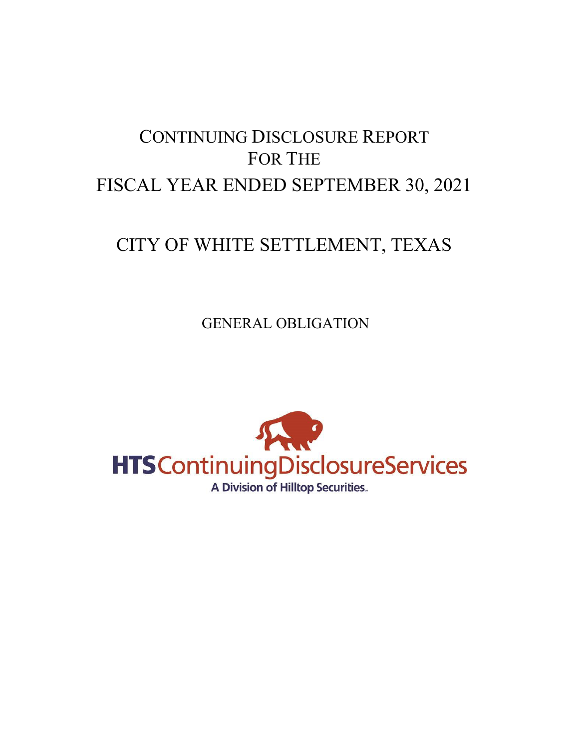# CONTINUING DISCLOSURE REPORT FOR THE FISCAL YEAR ENDED SEPTEMBER 30, 2021

# CITY OF WHITE SETTLEMENT, TEXAS

GENERAL OBLIGATION

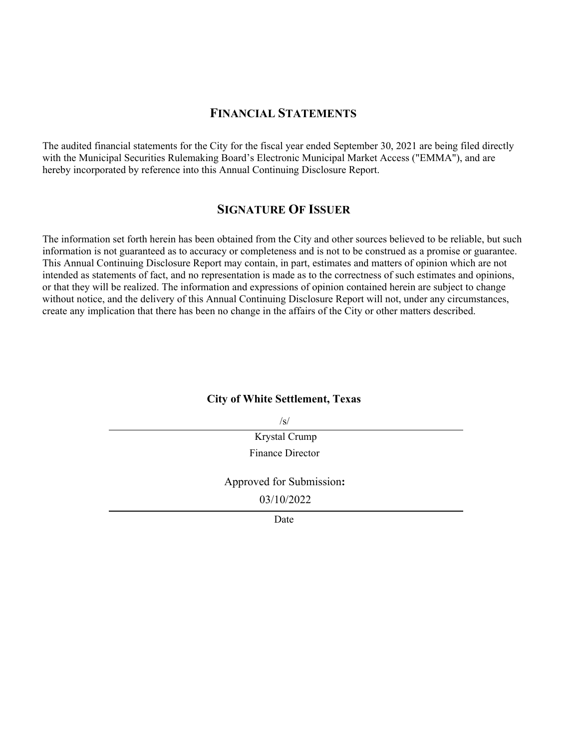## **FINANCIAL STATEMENTS**

The audited financial statements for the City for the fiscal year ended September 30, 2021 are being filed directly with the Municipal Securities Rulemaking Board's Electronic Municipal Market Access ("EMMA"), and are hereby incorporated by reference into this Annual Continuing Disclosure Report.

## **SIGNATURE OF ISSUER**

The information set forth herein has been obtained from the City and other sources believed to be reliable, but such information is not guaranteed as to accuracy or completeness and is not to be construed as a promise or guarantee. This Annual Continuing Disclosure Report may contain, in part, estimates and matters of opinion which are not intended as statements of fact, and no representation is made as to the correctness of such estimates and opinions, or that they will be realized. The information and expressions of opinion contained herein are subject to change without notice, and the delivery of this Annual Continuing Disclosure Report will not, under any circumstances, create any implication that there has been no change in the affairs of the City or other matters described.

#### **City of White Settlement, Texas**

 $\sqrt{s/}$ 

Krystal Crump Finance Director

Approved for Submission**:**

03/10/2022

**Date**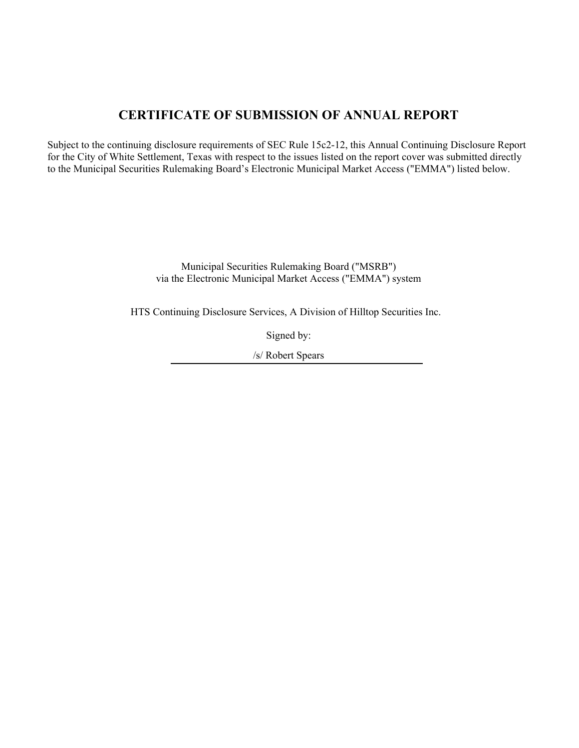# **CERTIFICATE OF SUBMISSION OF ANNUAL REPORT**

Subject to the continuing disclosure requirements of SEC Rule 15c2-12, this Annual Continuing Disclosure Report for the City of White Settlement, Texas with respect to the issues listed on the report cover was submitted directly to the Municipal Securities Rulemaking Board's Electronic Municipal Market Access ("EMMA") listed below.

> Municipal Securities Rulemaking Board ("MSRB") via the Electronic Municipal Market Access ("EMMA") system

HTS Continuing Disclosure Services, A Division of Hilltop Securities Inc.

Signed by:

/s/ Robert Spears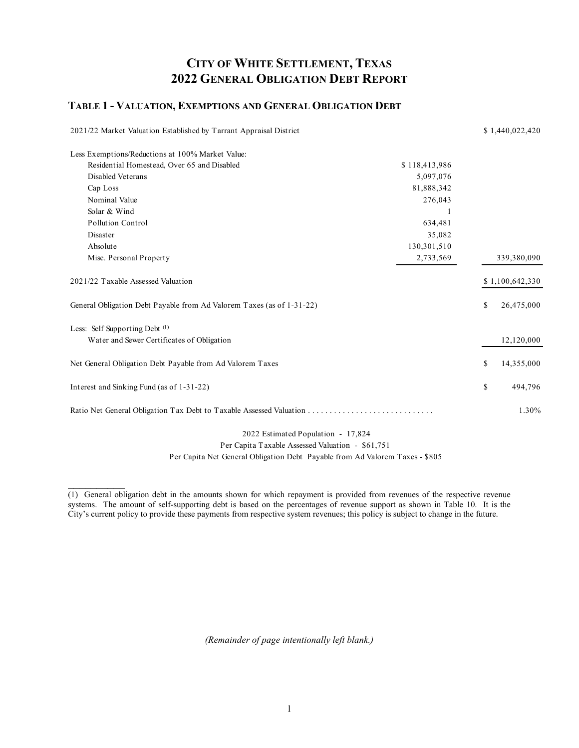## **CITY OF WHITE SETTLEMENT, TEXAS 2022 GENERAL OBLIGATION DEBT REPORT**

#### **TABLE 1 - VALUATION, EXEMPTIONS AND GENERAL OBLIGATION DEBT**

| 2021/22 Market Valuation Established by Tarrant Appraisal District    |               | \$1,440,022,420  |
|-----------------------------------------------------------------------|---------------|------------------|
| Less Exemptions/Reductions at 100% Market Value:                      |               |                  |
| Residential Homestead, Over 65 and Disabled                           | \$118,413,986 |                  |
| Disabled Veterans                                                     | 5,097,076     |                  |
| Cap Loss                                                              | 81,888,342    |                  |
| Nominal Value                                                         | 276,043       |                  |
| Solar & Wind                                                          |               |                  |
| Pollution Control                                                     | 634,481       |                  |
| Disaster                                                              | 35,082        |                  |
| Absolute                                                              | 130,301,510   |                  |
| Misc. Personal Property                                               | 2,733,569     | 339,380,090      |
| 2021/22 Taxable Assessed Valuation                                    |               | \$1,100,642,330  |
| General Obligation Debt Payable from Ad Valorem Taxes (as of 1-31-22) |               | \$<br>26,475,000 |
| Less: Self Supporting Debt <sup>(1)</sup>                             |               |                  |
| Water and Sewer Certificates of Obligation                            |               | 12,120,000       |
| Net General Obligation Debt Payable from Ad Valorem Taxes             |               | \$<br>14,355,000 |
| Interest and Sinking Fund (as of 1-31-22)                             |               | \$<br>494,796    |
|                                                                       |               | 1.30%            |
|                                                                       |               |                  |

 2022 Estimated Population - 17,824 Per Capita Taxable Assessed Valuation - \$61,751

Per Capita Net General Obligation Debt Payable from Ad Valorem Taxes - \$805

**\_\_\_\_\_\_\_\_\_\_** 

*(Remainder of page intentionally left blank.)* 

<sup>(1)</sup> General obligation debt in the amounts shown for which repayment is provided from revenues of the respective revenue systems. The amount of self-supporting debt is based on the percentages of revenue support as shown in Table 10. It is the City's current policy to provide these payments from respective system revenues; this policy is subject to change in the future.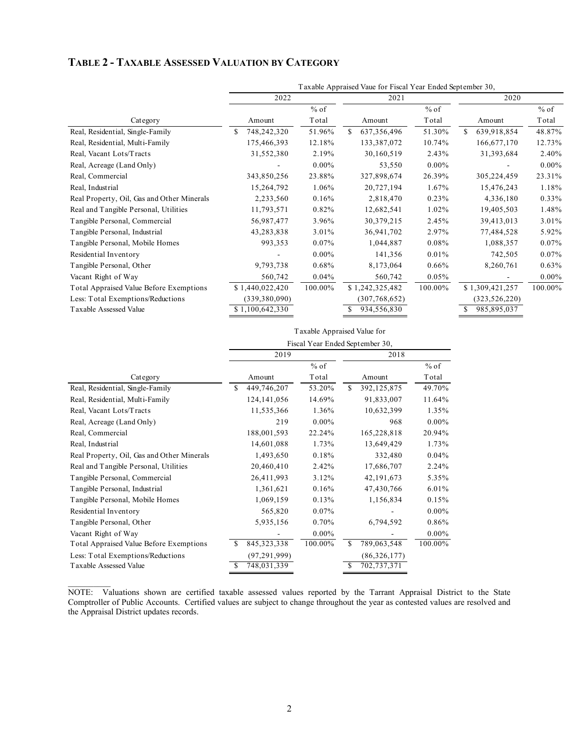## **TABLE 2 - TAXABLE ASSESSED VALUATION BY CATEGORY**

| Taxable Appraised Vaue for Fiscal Year Ended September 30, |          |                     |          |                 |          |
|------------------------------------------------------------|----------|---------------------|----------|-----------------|----------|
| 2022                                                       |          | 2021                |          | 2020            |          |
|                                                            | $%$ of   |                     | $%$ of   |                 | $%$ of   |
| Amount                                                     | Total    | Amount              | Total    | Amount          | Total    |
| 748,242,320<br>\$                                          | 51.96%   | S.<br>637, 356, 496 | 51.30%   | 639,918,854     | 48.87%   |
| 175,466,393                                                | 12.18%   | 133,387,072         | 10.74%   | 166,677,170     | 12.73%   |
| 31,552,380                                                 | 2.19%    | 30,160,519          | 2.43%    | 31,393,684      | 2.40%    |
|                                                            | $0.00\%$ | 53,550              | $0.00\%$ |                 | $0.00\%$ |
| 343,850,256                                                | 23.88%   | 327,898,674         | 26.39%   | 305,224,459     | 23.31%   |
| 15,264,792                                                 | 1.06%    | 20,727,194          | 1.67%    | 15,476,243      | 1.18%    |
| 2,233,560                                                  | 0.16%    | 2,818,470           | 0.23%    | 4,336,180       | 0.33%    |
| 11,793,571                                                 | 0.82%    | 12,682,541          | 1.02%    | 19,405,503      | 1.48%    |
| 56,987,477                                                 | 3.96%    | 30,379,215          | 2.45%    | 39,413,013      | 3.01%    |
| 43,283,838                                                 | 3.01%    | 36,941,702          | 2.97%    | 77,484,528      | 5.92%    |
| 993,353                                                    | 0.07%    | 1,044,887           | 0.08%    | 1,088,357       | $0.07\%$ |
|                                                            | $0.00\%$ | 141,356             | 0.01%    | 742,505         | $0.07\%$ |
| 9,793,738                                                  | 0.68%    | 8,173,064           | 0.66%    | 8,260,761       | 0.63%    |
| 560,742                                                    | 0.04%    | 560,742             | 0.05%    |                 | $0.00\%$ |
| \$1,440,022,420                                            | 100.00%  | \$1,242,325,482     | 100.00%  | \$1,309,421,257 | 100.00%  |
| (339, 380, 090)                                            |          | (307, 768, 652)     |          | (323, 526, 220) |          |
| \$1,100,642,330                                            |          | 934,556,830         |          | 985,895,037     |          |
|                                                            |          |                     |          |                 |          |

|                                            | Taxable Appraised Value for     |          |                    |          |  |  |  |  |  |
|--------------------------------------------|---------------------------------|----------|--------------------|----------|--|--|--|--|--|
|                                            | Fiscal Year Ended September 30, |          |                    |          |  |  |  |  |  |
|                                            | 2019                            |          | 2018               |          |  |  |  |  |  |
|                                            |                                 | $%$ of   |                    | $%$ of   |  |  |  |  |  |
| Category                                   | Amount                          | Total    | Amount             | Total    |  |  |  |  |  |
| Real, Residential, Single-Family           | \$.<br>449,746,207              | 53.20%   | \$.<br>392,125,875 | 49.70%   |  |  |  |  |  |
| Real, Residential, Multi-Family            | 124, 141, 056                   | 14.69%   | 91,833,007         | 11.64%   |  |  |  |  |  |
| Real, Vacant Lots/Tracts                   | 11,535,366                      | 1.36%    | 10,632,399         | 1.35%    |  |  |  |  |  |
| Real, Acreage (Land Only)                  | 219                             | $0.00\%$ | 968                | $0.00\%$ |  |  |  |  |  |
| Real, Commercial                           | 188,001,593                     | 22.24%   | 165,228,818        | 20.94%   |  |  |  |  |  |
| Real, Industrial                           | 14,601,088                      | 1.73%    | 13,649,429         | 1.73%    |  |  |  |  |  |
| Real Property, Oil, Gas and Other Minerals | 1,493,650                       | 0.18%    | 332,480            | 0.04%    |  |  |  |  |  |
| Real and Tangible Personal, Utilities      | 20,460,410                      | 2.42%    | 17,686,707         | 2.24%    |  |  |  |  |  |
| Tangible Personal, Commercial              | 26,411,993                      | 3.12%    | 42,191,673         | 5.35%    |  |  |  |  |  |
| Tangible Personal, Industrial              | 1,361,621                       | 0.16%    | 47,430,766         | 6.01%    |  |  |  |  |  |
| Tangible Personal, Mobile Homes            | 1,069,159                       | 0.13%    | 1,156,834          | 0.15%    |  |  |  |  |  |
| Residential Inventory                      | 565,820                         | 0.07%    |                    | $0.00\%$ |  |  |  |  |  |
| Tangible Personal, Other                   | 5,935,156                       | 0.70%    | 6,794,592          | 0.86%    |  |  |  |  |  |
| Vacant Right of Way                        |                                 | $0.00\%$ |                    | $0.00\%$ |  |  |  |  |  |
| Total Appraised Value Before Exemptions    | S<br>845, 323, 338              | 100.00%  | \$<br>789,063,548  | 100.00%  |  |  |  |  |  |
| Less: Total Exemptions/Reductions          | (97, 291, 999)                  |          | (86, 326, 177)     |          |  |  |  |  |  |
| Taxable Assessed Value                     | 748,031,339<br>S                |          | 702,737,371<br>S   |          |  |  |  |  |  |

 $\mathcal{L}_\text{max}$ NOTE: Valuations shown are certified taxable assessed values reported by the Tarrant Appraisal District to the State Comptroller of Public Accounts. Certified values are subject to change throughout the year as contested values are resolved and the Appraisal District updates records.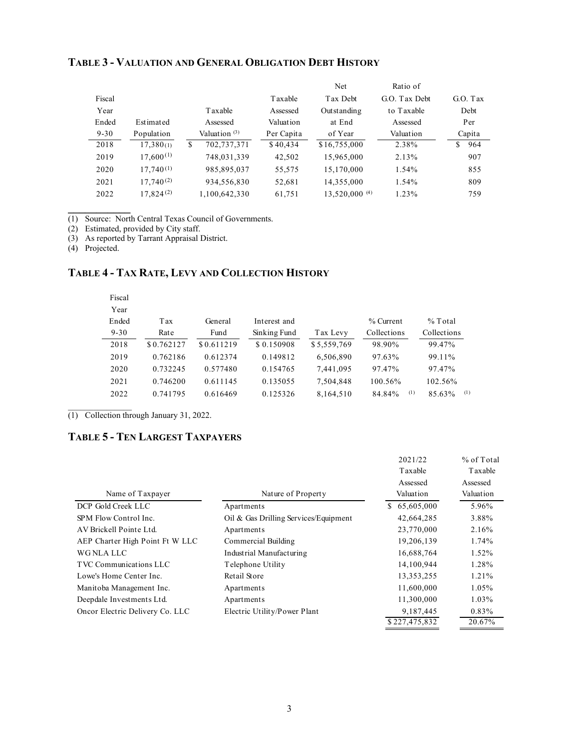|          |                |                          |            | Net            | Ratio of      |           |
|----------|----------------|--------------------------|------------|----------------|---------------|-----------|
| Fiscal   |                |                          | Taxable    | Tax Debt       | G.O. Tax Debt | G. O. Tax |
| Year     |                | Taxable                  | Assessed   | Outstanding    | to Taxable    | Debt      |
| Ended    | Estimated      | Assessed                 | Valuation  | at End         | Assessed      | Per       |
| $9 - 30$ | Population     | Valuation <sup>(3)</sup> | Per Capita | of Year        | Valuation     | Capita    |
| 2018     | 17,380(1)      | \$<br>702,737,371        | \$40,434   | \$16,755,000   | 2.38%         | \$<br>964 |
| 2019     | $17,600^{(1)}$ | 748,031,339              | 42,502     | 15,965,000     | 2.13%         | 907       |
| 2020     | $17,740^{(1)}$ | 985,895,037              | 55,575     | 15,170,000     | 1.54%         | 855       |
| 2021     | $17,740^{(2)}$ | 934,556,830              | 52,681     | 14,355,000     | 1.54%         | 809       |
| 2022     | 17.824(2)      | 1,100,642,330            | 61,751     | 13,520,000 (4) | 1.23%         | 759       |
|          |                |                          |            |                |               |           |

#### **TABLE 3 - VALUATION AND GENERAL OBLIGATION DEBT HISTORY**

(1) Source: North Central Texas Council of Governments.

(2) Estimated, provided by City staff.

(3) As reported by Tarrant Appraisal District.

(4) Projected.

**\_\_\_\_\_\_\_\_\_\_\_** 

## **TABLE 4 - TAX RATE, LEVY AND COLLECTION HISTORY**

| Fiscal   |            |            |              |             |               |               |
|----------|------------|------------|--------------|-------------|---------------|---------------|
| Year     |            |            |              |             |               |               |
| Ended    | Tax        | General    | Interest and |             | % Current     | $%$ Total     |
| $9 - 30$ | Rate       | Fund       | Sinking Fund | Tax Levy    | Collections   | Collections   |
| 2018     | \$0.762127 | \$0.611219 | \$0.150908   | \$5,559,769 | 98.90%        | 99.47%        |
| 2019     | 0.762186   | 0.612374   | 0.149812     | 6,506,890   | 97.63%        | 99.11%        |
| 2020     | 0.732245   | 0.577480   | 0.154765     | 7,441,095   | 97.47%        | 97.47%        |
| 2021     | 0.746200   | 0.611145   | 0.135055     | 7,504,848   | 100.56%       | 102.56%       |
| 2022     | 0.741795   | 0.616469   | 0.125326     | 8,164,510   | (1)<br>84.84% | (1)<br>85.63% |
|          |            |            |              |             |               |               |

(1) Collection through January 31, 2022.

## **TABLE 5 - TEN LARGEST TAXPAYERS**

|                                 |                                       | 2021/22<br>Taxable    | $%$ of Total<br><b>T</b> axable |
|---------------------------------|---------------------------------------|-----------------------|---------------------------------|
| Name of Taxpayer                | Nature of Property                    | Assessed<br>Valuation | Assessed<br>Valuation           |
| DCP Gold Creek LLC              | Apartments                            | 65,605,000<br>S.      | 5.96%                           |
| SPM Flow Control Inc.           | Oil & Gas Drilling Services/Equipment | 42,664,285            | 3.88%                           |
| AV Brickell Pointe Ltd.         | Apartments                            | 23,770,000            | 2.16%                           |
| AEP Charter High Point Ft W LLC | Commercial Building                   | 19,206,139            | 1.74%                           |
| WG NLA LLC                      | Industrial Manufacturing              | 16,688,764            | 1.52%                           |
| TVC Communications LLC          | Telephone Utility                     | 14,100,944            | 1.28%                           |
| Lowe's Home Center Inc.         | Retail Store                          | 13, 353, 255          | 1.21%                           |
| Manitoba Management Inc.        | Apartments                            | 11,600,000            | 1.05%                           |
| Deepdale Investments Ltd.       | Apartments                            | 11,300,000            | 1.03%                           |
| Oncor Electric Delivery Co. LLC | Electric Utility/Power Plant          | 9,187,445             | 0.83%                           |
|                                 |                                       | \$227,475,832         | 20.67%                          |
|                                 |                                       |                       |                                 |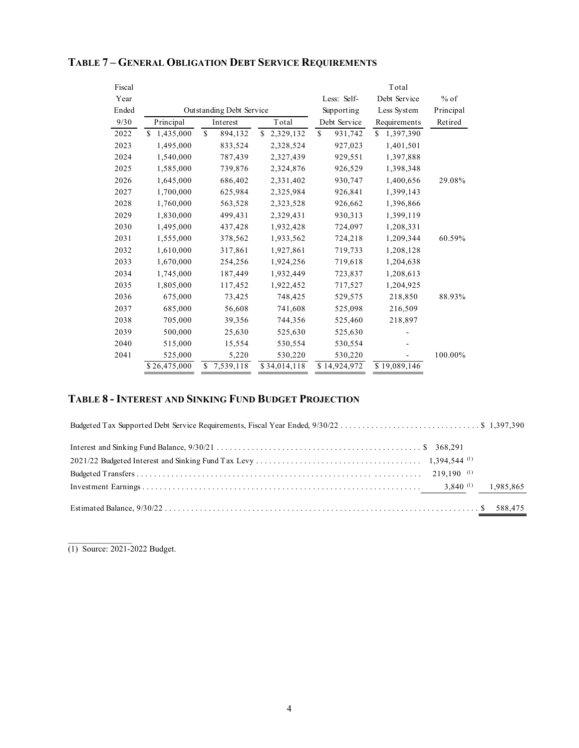| Fiscal |                 |                          |                 |               | Total            |           |
|--------|-----------------|--------------------------|-----------------|---------------|------------------|-----------|
| Year   |                 |                          |                 | Less: Self-   | Debt Service     | $%$ of    |
| Ended  |                 | Outstanding Debt Service |                 | Supporting    | Less System      | Principal |
| 9/30   | Principal       | Interest                 | Total           | Debt Service  | Requirements     | Retired   |
| 2022   | 1,435,000<br>\$ | $\mathbf S$<br>894,132   | 2,329,132<br>S. | \$<br>931,742 | 1,397,390<br>\$. |           |
| 2023   | 1,495,000       | 833,524                  | 2,328,524       | 927,023       | 1,401,501        |           |
| 2024   | 1,540,000       | 787,439                  | 2,327,439       | 929,551       | 1,397,888        |           |
| 2025   | 1,585,000       | 739,876                  | 2,324,876       | 926,529       | 1,398,348        |           |
| 2026   | 1,645,000       | 686,402                  | 2,331,402       | 930,747       | 1,400,656        | 29.08%    |
| 2027   | 1,700,000       | 625,984                  | 2,325,984       | 926,841       | 1,399,143        |           |
| 2028   | 1,760,000       | 563,528                  | 2,323,528       | 926,662       | 1,396,866        |           |
| 2029   | 1,830,000       | 499,431                  | 2,329,431       | 930,313       | 1,399,119        |           |
| 2030   | 1,495,000       | 437,428                  | 1,932,428       | 724,097       | 1,208,331        |           |
| 2031   | 1,555,000       | 378,562                  | 1,933,562       | 724,218       | 1,209,344        | 60.59%    |
| 2032   | 1,610,000       | 317,861                  | 1,927,861       | 719,733       | 1,208,128        |           |
| 2033   | 1,670,000       | 254,256                  | 1,924,256       | 719,618       | 1,204,638        |           |
| 2034   | 1,745,000       | 187,449                  | 1,932,449       | 723,837       | 1,208,613        |           |
| 2035   | 1,805,000       | 117,452                  | 1,922,452       | 717,527       | 1,204,925        |           |
| 2036   | 675,000         | 73,425                   | 748,425         | 529,575       | 218,850          | 88.93%    |
| 2037   | 685,000         | 56,608                   | 741,608         | 525,098       | 216,509          |           |
| 2038   | 705,000         | 39,356                   | 744,356         | 525,460       | 218,897          |           |
| 2039   | 500,000         | 25,630                   | 525,630         | 525,630       |                  |           |
| 2040   | 515,000         | 15,554                   | 530,554         | 530,554       |                  |           |
| 2041   | 525,000         | 5,220                    | 530,220         | 530,220       |                  | 100.00%   |
|        | \$26,475,000    | 7,539,118<br>S           | \$34,014,118    | \$14,924,972  | \$19,089,146     |           |

## **TABLE 7 – GENERAL OBLIGATION DEBT SERVICE REQUIREMENTS**

## **TABLE 8 - INTEREST AND SINKING FUND BUDGET PROJECTION**

 $\mathcal{L}=\mathcal{L}^{\mathcal{L}}$ (1) Source: 2021-2022 Budget.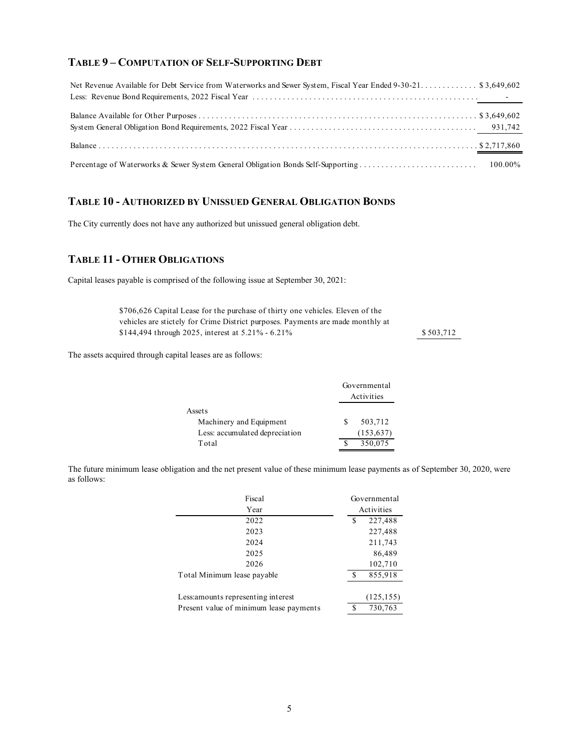#### **TABLE 9 – COMPUTATION OF SELF-SUPPORTING DEBT**

| Net Revenue Available for Debt Service from Waterworks and Sewer System, Fiscal Year Ended 9-30-21 \$3,649,602 |  |
|----------------------------------------------------------------------------------------------------------------|--|
|                                                                                                                |  |
|                                                                                                                |  |
|                                                                                                                |  |
|                                                                                                                |  |
|                                                                                                                |  |

## **TABLE 10 - AUTHORIZED BY UNISSUED GENERAL OBLIGATION BONDS**

The City currently does not have any authorized but unissued general obligation debt.

## **TABLE 11 - OTHER OBLIGATIONS**

Capital leases payable is comprised of the following issue at September 30, 2021:

\$706,626 Capital Lease for the purchase of thirty one vehicles. Eleven of the vehicles are stictely for Crime District purposes. Payments are made monthly at \$144,494 through 2025, interest at 5.21% - 6.21% 503,712

The assets acquired through capital leases are as follows:

|                                | Governmental<br>Activities |  |
|--------------------------------|----------------------------|--|
| Assets                         |                            |  |
| Machinery and Equipment        | 503,712                    |  |
| Less: accumulated depreciation | (153, 637)                 |  |
| Total                          | 350,075                    |  |

The future minimum lease obligation and the net present value of these minimum lease payments as of September 30, 2020, were as follows:

| Fiscal                                  | Governmental |            |
|-----------------------------------------|--------------|------------|
| Year                                    |              | Activities |
| 2022                                    | 227,488<br>S |            |
| 2023                                    |              | 227,488    |
| 2024                                    |              | 211,743    |
| 2025                                    |              | 86,489     |
| 2026                                    |              | 102,710    |
| Total Minimum lease payable             |              | 855,918    |
| Less: amounts representing interest     |              | (125, 155) |
| Present value of minimum lease payments |              | 730,763    |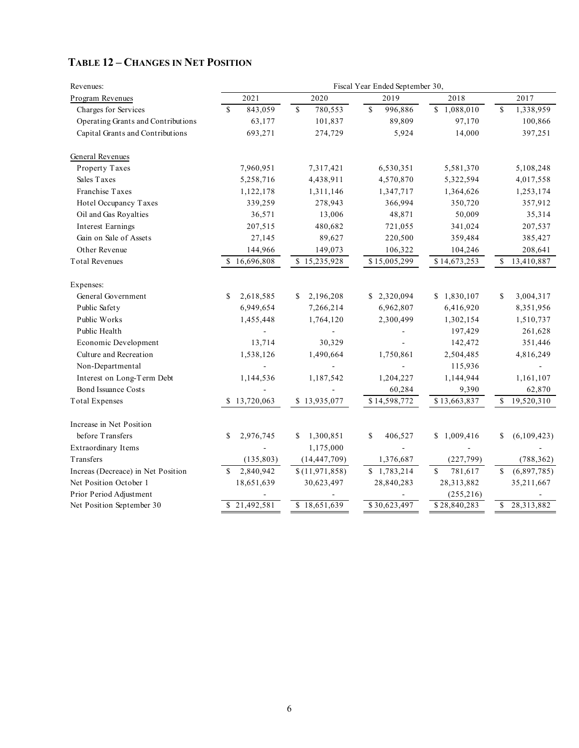| Revenues:                          | Fiscal Year Ended September 30, |                 |               |                        |                            |  |  |
|------------------------------------|---------------------------------|-----------------|---------------|------------------------|----------------------------|--|--|
| Program Revenues                   | 2021                            | 2020            | 2019          | 2018                   | 2017                       |  |  |
| Charges for Services               | 843,059<br>\$.                  | \$<br>780,553   | \$<br>996,886 | \$1,088,010            | $\mathbb{S}$<br>1,338,959  |  |  |
| Operating Grants and Contributions | 63,177                          | 101,837         | 89,809        | 97,170                 | 100,866                    |  |  |
| Capital Grants and Contributions   | 693,271                         | 274,729         | 5,924         | 14,000                 | 397,251                    |  |  |
| General Revenues                   |                                 |                 |               |                        |                            |  |  |
| Property Taxes                     | 7,960,951                       | 7,317,421       | 6,530,351     | 5,581,370              | 5,108,248                  |  |  |
| Sales Taxes                        | 5,258,716                       | 4,438,911       | 4,570,870     | 5,322,594              | 4,017,558                  |  |  |
| Franchise Taxes                    | 1,122,178                       | 1,311,146       | 1,347,717     | 1,364,626              | 1,253,174                  |  |  |
| Hotel Occupancy Taxes              | 339,259                         | 278,943         | 366,994       | 350,720                | 357,912                    |  |  |
| Oil and Gas Royalties              | 36,571                          | 13,006          | 48,871        | 50,009                 | 35,314                     |  |  |
| <b>Interest Earnings</b>           | 207,515                         | 480,682         | 721,055       | 341,024                | 207,537                    |  |  |
| Gain on Sale of Assets             | 27,145                          | 89,627          | 220,500       | 359,484                | 385,427                    |  |  |
| Other Revenue                      | 144,966                         | 149,073         | 106,322       | 104,246                | 208,641                    |  |  |
| <b>Total Revenues</b>              | 16,696,808<br>\$.               | \$15,235,928    | \$15,005,299  | \$14,673,253           | \$<br>13,410,887           |  |  |
| Expenses:                          |                                 |                 |               |                        |                            |  |  |
| General Government                 | 2,618,585<br>\$                 | 2,196,208<br>\$ | \$2,320,094   | \$1,830,107            | \$<br>3,004,317            |  |  |
| Public Safety                      | 6,949,654                       | 7,266,214       | 6,962,807     | 6,416,920              | 8,351,956                  |  |  |
| Public Works                       | 1,455,448                       | 1,764,120       | 2,300,499     | 1,302,154              | 1,510,737                  |  |  |
| Public Health                      |                                 |                 |               | 197,429                | 261,628                    |  |  |
| Economic Development               | 13,714                          | 30,329          |               | 142,472                | 351,446                    |  |  |
| Culture and Recreation             | 1,538,126                       | 1,490,664       | 1,750,861     | 2,504,485              | 4,816,249                  |  |  |
| Non-Departmental                   |                                 |                 |               | 115,936                |                            |  |  |
| Interest on Long-Term Debt         | 1,144,536                       | 1,187,542       | 1,204,227     | 1,144,944              | 1,161,107                  |  |  |
| <b>Bond Issuance Costs</b>         |                                 |                 | 60,284        | 9,390                  | 62,870                     |  |  |
| <b>Total Expenses</b>              | 13,720,063<br>S.                | \$13,935,077    | \$14,598,772  | \$13,663,837           | $\mathbb{S}$<br>19,520,310 |  |  |
| Increase in Net Position           |                                 |                 |               |                        |                            |  |  |
| before Transfers                   | 2,976,745<br>\$                 | 1,300,851<br>S. | \$<br>406,527 | 1,009,416<br>\$        | (6,109,423)<br>\$          |  |  |
| Extraordinary Items                |                                 | 1,175,000       |               |                        |                            |  |  |
| Transfers                          | (135, 803)                      | (14, 447, 709)  | 1,376,687     | (227, 799)             | (788, 362)                 |  |  |
| Increas (Decreace) in Net Position | \$<br>2,840,942                 | \$(11,971,858)  | \$1,783,214   | $\mathbb S$<br>781,617 | $\mathbf S$<br>(6,897,785) |  |  |
| Net Position October 1             | 18,651,639                      | 30,623,497      | 28,840,283    | 28,313,882             | 35,211,667                 |  |  |
| Prior Period Adjustment            |                                 |                 |               | (255, 216)             |                            |  |  |
| Net Position September 30          | \$21,492,581                    | \$18,651,639    | \$30,623,497  | \$28,840,283           | 28,313,882<br>$\mathbb{S}$ |  |  |

## **TABLE 12 – CHANGES IN NET POSITION**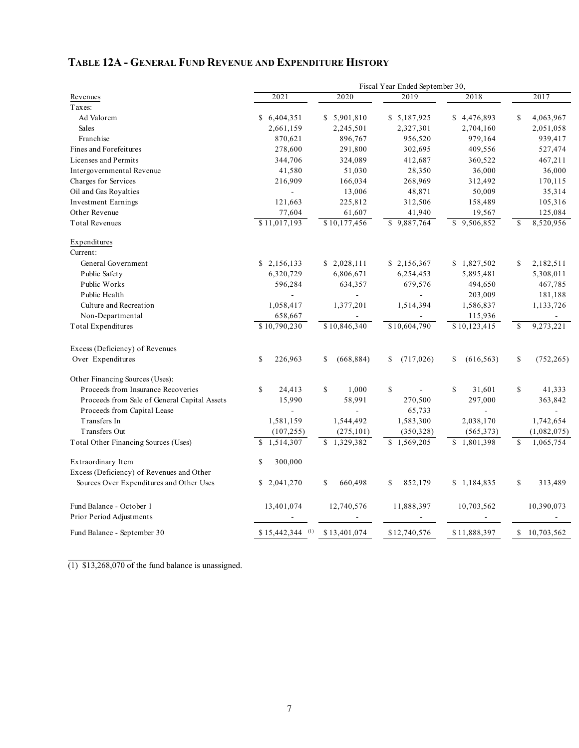## **TABLE 12A - GENERAL FUND REVENUE AND EXPENDITURE HISTORY**

|                                              | Fiscal Year Ended September 30, |                  |                        |                        |                            |
|----------------------------------------------|---------------------------------|------------------|------------------------|------------------------|----------------------------|
| Revenues                                     | 2021                            | 2020             | 2019                   | 2018                   | 2017                       |
| Taxes:                                       |                                 |                  |                        |                        |                            |
| Ad Valorem                                   | \$6,404,351                     | \$5,901,810      | \$5,187,925            | \$4,476,893            | \$<br>4,063,967            |
| <b>Sales</b>                                 | 2,661,159                       | 2,245,501        | 2,327,301              | 2,704,160              | 2,051,058                  |
| Franchise                                    | 870,621                         | 896,767          | 956,520                | 979,164                | 939,417                    |
| Fines and Forefeitures                       | 278,600                         | 291,800          | 302,695                | 409,556                | 527,474                    |
| Licenses and Permits                         | 344,706                         | 324,089          | 412,687                | 360,522                | 467,211                    |
| Intergovernmental Revenue                    | 41,580                          | 51,030           | 28,350                 | 36,000                 | 36,000                     |
| Charges for Services                         | 216,909                         | 166,034          | 268,969                | 312,492                | 170,115                    |
| Oil and Gas Royalties                        | $\overline{\phantom{a}}$        | 13,006           | 48,871                 | 50,009                 | 35,314                     |
| <b>Investment Earnings</b>                   | 121,663                         | 225,812          | 312,506                | 158,489                | 105,316                    |
| Other Revenue                                | 77,604                          | 61,607           | 41,940                 | 19,567                 | 125,084                    |
| <b>Total Revenues</b>                        | \$11,017,193                    | \$10,177,456     | \$9,887,764            | \$9,506,852            | 8,520,956<br><sup>\$</sup> |
| Expenditures                                 |                                 |                  |                        |                        |                            |
| Current:                                     |                                 |                  |                        |                        |                            |
| General Government                           | \$2,156,133                     | \$2,028,111      | \$2,156,367            | \$1,827,502            | \$<br>2,182,511            |
| Public Safety                                | 6,320,729                       | 6,806,671        | 6,254,453              | 5,895,481              | 5,308,011                  |
| Public Works                                 | 596,284                         | 634,357          | 679,576                | 494,650                | 467,785                    |
| Public Health                                | $\overline{a}$                  | ÷,               | $\blacksquare$         | 203,009                | 181,188                    |
| Culture and Recreation                       | 1,058,417                       | 1,377,201        | 1,514,394              | 1,586,837              | 1,133,726                  |
| Non-Departmental                             | 658,667                         |                  |                        | 115,936                |                            |
| Total Expenditures                           | \$10,790,230                    | \$10,846,340     | \$10,604,790           | \$10,123,415           | <sup>\$</sup><br>9,273,221 |
| Excess (Deficiency) of Revenues              |                                 |                  |                        |                        |                            |
| Over Expenditures                            | S<br>226,963                    | (668, 884)<br>\$ | (717, 026)<br>\$       | (616, 563)<br>\$       | \$<br>(752, 265)           |
|                                              |                                 |                  |                        |                        |                            |
| Other Financing Sources (Uses):              |                                 |                  |                        |                        |                            |
| Proceeds from Insurance Recoveries           | \$<br>24,413                    | \$<br>1,000      | \$                     | $\mathbf S$<br>31,601  | \$<br>41,333               |
| Proceeds from Sale of General Capital Assets | 15,990                          | 58,991           | 270,500                | 297,000                | 363,842                    |
| Proceeds from Capital Lease                  |                                 |                  | 65,733                 |                        |                            |
| Transfers In                                 | 1,581,159                       | 1,544,492        | 1,583,300              | 2,038,170              | 1,742,654                  |
| Transfers Out                                | (107, 255)                      | (275, 101)       | (350, 328)             | (565, 373)             | (1,082,075)                |
| Total Other Financing Sources (Uses)         | \$.<br>1,514,307                | \$1,329,382      | $\overline{1,569,205}$ | $\overline{1,801,398}$ | <sup>\$</sup><br>1,065,754 |
| Extraordinary Item                           | 300,000<br>\$                   |                  |                        |                        |                            |
| Excess (Deficiency) of Revenues and Other    |                                 |                  |                        |                        |                            |
| Sources Over Expenditures and Other Uses     | \$2,041,270                     | S<br>660,498     | 852,179<br>\$          | \$1,184,835            | \$<br>313,489              |
| Fund Balance - October 1                     | 13,401,074                      | 12,740,576       | 11,888,397             | 10,703,562             | 10,390,073                 |
| Prior Period Adjustments                     |                                 |                  |                        |                        |                            |
|                                              |                                 |                  |                        |                        |                            |
| Fund Balance - September 30                  | $$15,442,344$ <sup>(1)</sup>    | \$13,401,074     | \$12,740,576           | \$11,888,397           | \$10,703,562               |

(1) \$13,268,070 of the fund balance is unassigned.